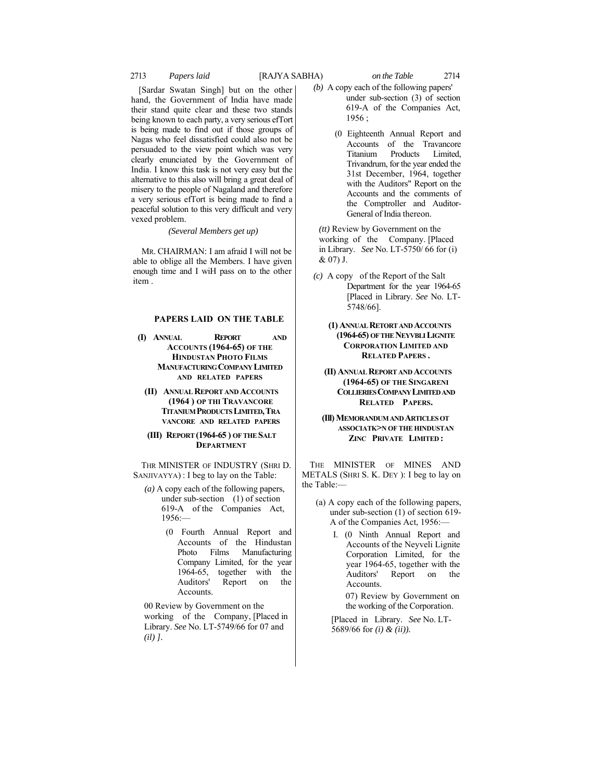# 2713 *Papers laid* [RAJYA SABHA) *on the Table* 2714

[Sardar Swatan Singh] but on the other hand, the Government of India have made their stand quite clear and these two stands being known to each party, a very serious efTort is being made to find out if those groups of Nagas who feel dissatisfied could also not be persuaded to the view point which was very clearly enunciated by the Government of India. I know this task is not very easy but the alternative to this also will bring a great deal of misery to the people of Nagaland and therefore a very serious efTort is being made to find a peaceful solution to this very difficult and very vexed problem.

*(Several Members get up)*

MR. CHAIRMAN: I am afraid I will not be able to oblige all the Members. I have given enough time and I wiH pass on to the other item .

## **PAPERS LAID ON THE TABLE**

- **(I) ANNUAL REPORT AND ACCOUNTS (1964-65) OF THE HINDUSTAN PHOTO FILMS MANUFACTURING COMPANY LIMITED AND RELATED PAPERS**
	- **(II) ANNUAL REPORT AND ACCOUNTS (1964 ) OP THI TRAVANCORE TITANIUM PRODUCTS LIMITED,TRA VANCORE AND RELATED PAPERS**
	- **(III) REPORT (1964-65 ) OF THE SALT DEPARTMENT**

THR MINISTER OF INDUSTRY (SHRI D. SANJIVAYYA) : I beg to lay on the Table:

- *(a)* A copy each of the following papers, under sub-section (1) of section 619-A of the Companies Act,  $1956:$ 
	- (0 Fourth Annual Report and Accounts of the Hindustan Photo Films Manufacturing Company Limited, for the year 1964-65, together with the Auditors' Report on the **Accounts**

00 Review by Government on the working of the Company, [Placed in Library. *See* No. LT-5749/66 for 07 and *(il) ].*

- *(b)* A copy each of the following papers' under sub-section (3) of section 619-A of the Companies Act, 1956 ;
	- (0 Eighteenth Annual Report and Accounts of the Travancore Titanium Products Limited, Trivandrum, for the year ended the 31st December, 1964, together with the Auditors" Report on the Accounts and the comments of the Comptroller and Auditor-General of India thereon.

*(tt)* Review by Government on the working of the Company. [Placed in Library. *See* No. LT-5750/ 66 for (i) & 07) J.

- *(c)* A copy of the Report of the Salt Department for the year 1964-65 [Placed in Library. *See* No. LT-5748/66].
	- **(1) ANNUAL RETORT AND ACCOUNTS (1964-65) OF THE NEYVBLI LIGNITE CORPORATION LIMITED AND RELATED PAPERS .**
	- **(II) ANNUAL REPORT AND ACCOUNTS (1964-65) OF THE SINGARENI COLLIERIES COMPANY LIMITED AND RELATED PAPERS.**
	- **(Ill) MEMORANDUM AND ARTICLES OT ASSOCIATK>N OF THE HINDUSTAN ZINC PRIVATE LIMITED :**

THE MINISTER OF MINES AND METALS (SHRI S. K. DEY ): I beg to lay on the Table:—

- (a) A copy each of the following papers, under sub-section (1) of section 619- A of the Companies Act, 1956:—
	- I. (0 Ninth Annual Report and Accounts of the Neyveli Lignite Corporation Limited, for the year 1964-65, together with the Auditors' Report on the Accounts.

07) Review by Government on the working of the Corporation.

[Placed in Library. *See* No. LT-5689/66 for *(i) & (ii)).*